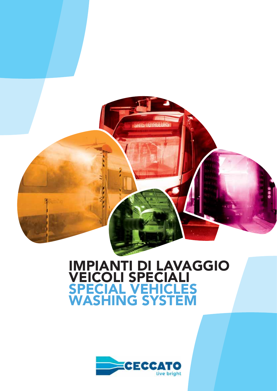

# IMPIANTI DI LAVAGGIO VEICOLI SPECIALI SPECIAL VEHICLES WASHING SYSTEM

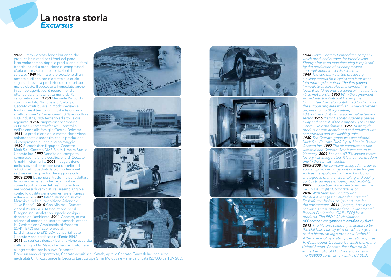### La nostra storia **Excursus**

1936 Pietro Ceccato fonda l'azienda che produce bruciatori per i forni del pane. Non molto tempo dopo la produzione di forni è sostituita dalla produzione di compressori d'aria e attrezzature per le stazioni di servizio. **1949** Ha inizio la produzione di un motore ausiliario per biciclette alla quale segue, a breve, la produzione di motori per motociclette. Il successo è immediato anche in campo agonistico: 6 record mondiali ottenuti da una futuristica moto da 75 centimetri cubici. 1953 Mediante l'accordo con il Comitato Nazionale di Sviluppo, Ceccato contribuisce in modo decisivo a trasformare il territorio circostante con una strutturazione "all'americana": 30% agricoltura, 40% industria, 30% terziario ad alto valore aggiunto. 1956 L'improvvisa scomparsa di Pietro Ceccato trasferisce il controllo dell'azienda alle famiglie Capra - Dolcetta. 1961 La produzione delle motociclette viene abbandonata e sostituita con la produzione di compressori e unità di autolavaggio. 1980 Si costituisce il gruppo Ceccato: Mark S.r.l, Ceccato DMR S.p.A. Limeira Brasile, Ceccato Inc. 1997 Vendita del comparto compressori d'aria e costituzione di Ceccato GmbH in Germania. **2001** Inaugurazione<br>della nuova fabbrica con una superficie di 60.000 metri quadrati: la più moderna nel settore degli impianti di lavaggio veicoli. 2003-2008 L'azienda si trasforma per adottare le più moderne tecniche organizzative come l'applicazione del Lean Production nei processi di verniciatura, assemblaggio e<br>controllo qualità per incrementare efficienza e flessibilità. 2009 Introduzione del nuovo Marchio e della nuova visione Aziendale "Live Bright". 2010 Con Minimax Ceccato 2013 La storica azienda vicentina viene acquisita vince il Premio ADI (Associazione per il Disegno Industriale) coniugando design e rispetto dell'ambiente. 2011 Ceccato, prima azienda al mondo nel settore carwash, ottiene la Dichiarazione Ambientale di Prodotto (DAP - EPD) per i suoi prodotti. La dichiarazione EPD LCA dei portali auto dalla famiglia Dal Maso che decide di ritornare al logo storico per la nuova "rinascita".









**1936** Pietro Ceccato founded the company, which produced burners for bread ovens. Shortly after oven manufacturing is replaced by the production of air compressors and equipment for service stations. **1949** The company started producing auxiliary motors for bicycles and later went<br>into motorcycle motors. The firm gained immediate success also at a competitive level: 6 world records achieved with a futuristic 75 cc motorcycle. **1953** With the agreement signed with the National Development Committee, Ceccato contributed to changing the surrounding area with an "American-style" organisation: 30% agriculture, 40% industry, 30% highly added value tertiary sector. **1956** Pietro Ceccato suddenly passes away and control of the company goes to the Capra - Dolcetta families. 1961 Motorcycle production was abandoned and replaced with compressors and car-washing units. **1980** The Ceccato group was established: Mark S.r.l, Ceccato DMR S.p.A. Limeira Brasile, Ceccato Inc. **1997** The air compressors unit was sold and Ceccato GmbH was set up in Germany. **2001** The new 60,000 square-metre factory was inaugurated, it is the most modern one in the car-wash sector. 2003-2008 The company changed in order to adopt top modern organisational techniques, such as the application of Lean Production strategies in priming, assembling and quality<br>control to increase efficiency and flexibility. **2009** Introduction of the new brand and the new "Live Bright" Corporate vision. 2010 With Minimax Ceccato won the ADI Award (Association for Industrial Design), combining design and care for the environment. **2011** Ceccato, first in the car wash sector, obtained the Environmental Product Declaration (DAP - EPD) for its products. The EPD LCA declaration of Ceccato's car gantries is certified by RINA. 2013 The historic company is acquired by the Dal Maso family who decides to go back to the historical logo for a new "rebirth". After a year of operation, Ceccato acquires InWash, opens Ceccato-Carwash Inc. in the United States, Ceccato East Europe Srl in the Republic of Moldova and renews the IS09000 certification with TUV SUD.

Dopo un anno di operatività, Ceccato acquisisce InWash, apre la Ceccato-Carwash Inc. con sede negli Stati Uniti, costituisce la Ceccato East Europe Srl in Moldova e viene certificata IS09000 da TUV SUD.

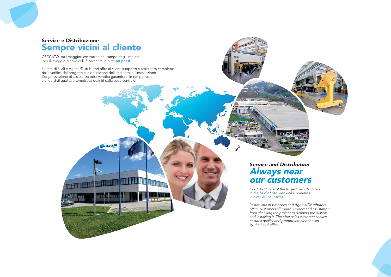### Service e Distribuzione Sempre vicini al cliente

CECCATO, tra i maggiori costruttori nel campo degli impianti per il lavaggio autoveicoli, è presente in oltre 60 paesi.

**TITLE HELL** 

La rete di filiali e Agenti/Distributori offre ai clienti supporto e assistenza completa: dalla verifica del progetto alla definizione dell'impianto, all'installazione. L'organizzazione di assistenza post-vendita garantisce, in tempo reale, standard di qualità e tempistica definiti dalla sede centrale.

CECCATO

## Service and Distribution SAlways near our customers

ाना

CECCATO, one of the largest manufacturers in the field of car wash units, operates in over 60 countries.

Its network of branches and Agents/Distributors offers customers all-round support and assistance: from checking the project to defining the system and installing it. The after-sales customer service ensures quality and prompt intervention set by the head office.





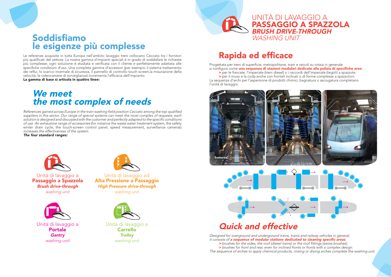

# Soddisfiamo le esigenze più complesse

Le referenze acquisite in tutta Europa nell'ambito lavaggio treni collocano Ceccato tra i fornitori più qualificati del settore. La nostra gamma d'impianti speciali è in grado di soddisfare le richieste più complesse; ogni soluzione è studiata e verificata con il cliente e perfettamente adattata alle specifiche condizioni d'uso. Una completa gamma d'accessori (per esempio il sistema trattamento dei reflui, lo scarico invernale di sicurezza, il pannello di controllo touch screen, la misurazione della velocità, le videocamere di sorveglianza) incrementa l'efficacia dell'impianto.

La gamma di base si articola in quattro linee:

# We meet the most complex of needs

References gained across Europe in the train washing field position Ceccato among the top qualified suppliers in this sector. Our range of special systems can meet the most complex of requests; each solution is designed and discussed with the customer and perfectly adapted to the specific conditions of use. An exhaustive range of accessories (for instance the waste water treatment system, the safety winter drain cycle, the touch-screen control panel, speed measurement, surveillance cameras) increases the effectiveness of the system.

The four standard ranges:



Unità di lavaggio a Passaggio a Spazzola **Brush drive-through** washing unit



Unità di lavaggio a **Portale Gantry** washing unit



Unità di lavaggio ad Alta Pressione a Passaggio **High Pressure drive-through** washing unit



Unità di lavaggio a **Carrello Trolley** washing unit



# **Rapida ed efficace**

Progettata per treni di superficie, metropolitane, tram e veicoli su rotaia in generale si configura come una sequenza di stazioni modulari dedicate alla pulizia di specifiche aree: > per le fiancate, l'imperiale (treni diesel) o i raccordi dell'imperiale (tegoli) a spazzole; > per il muso e la coda anche con frontali inclinati o di forme complesse a spazzoloni. La seguenza d'archi per l'aspersione di prodotti chimici, bagnatura o asciugatura completano

l'unità di lavaggio.







# **Quick and effective**

Designed for overground and underground trains, trams and railway vehicles in general, it consists of a sequence of modular stations dedicated to cleaning specific areas: > brushes for the sides, the roof (diesel trains) or the roof fittings (eaves brushes); > brushes for front and rear, even for inclined fronts or fronts with a complex design. The sequence of arches to apply chemical products, rinsing or drying arches complete the washing unit.

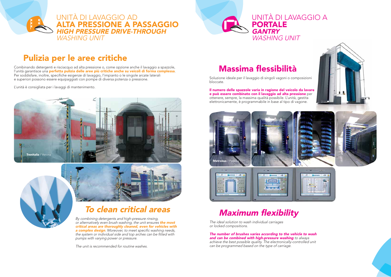# Pulizia per le aree critiche

Combinando detergenti e risciacquo ad alta pressione o, come opzione anche il lavaggio a spazzole, l'unità garantisce una perfetta pulizia delle aree più critiche anche su veicoli di forma complessa. Per soddisfare, inoltre, specifiche esigenze di lavaggio, l'impianto o le singole arcate laterali e superiori possono essere equipaggiati con pompe di diversa potenza o pressione.

L'unità è consigliata per i lavaggi di mantenimento.

# To clean critical areas

By combining detergents and high-pressure rinsing, or alternatively even brush washing, the unit ensures the most critical areas are thoroughly cleaned, even for vehicles with a complex design. Moreover, to meet specific washing needs, the system or individual side and top arches can be fitted with pumps with varying power or pressure.

The unit is recommended for routine washes.

# Massima flessibilità









Soluzione ideale per il lavaggio di singoli vagoni o composizioni bloccate.

Il numero delle spazzole varia in ragione del veicolo da lavare e può essere combinato con il lavaggio ad alta pressione per ottenere, sempre, la massima qualità possibile. L'unità, gestita elettronicamente, è programmabile in base al tipo di vagone.

The ideal solution to wash individual carriages or locked compositions.

The number of brushes varies according to the vehicle to wash and can be combined with high-pressure washing to always achieve the best possible quality. The electronically-controlled unit can be programmed based on the type of carriage.









# Maximum flexibility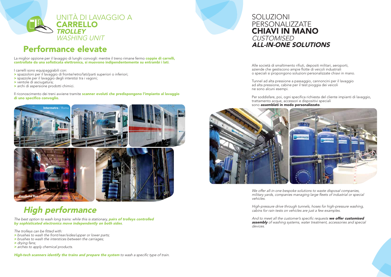

# Performance elevate

La miglior opzione per il lavaggio di lunghi convogli: mentre il treno rimane fermo coppie di carrelli, controllate da una sofisticata elettronica, si muovono indipendentemente su entrambi i lati.

I carrelli sono equipaggiabili con:

- > spazzoloni per il lavaggio di fronte/retro/lati/parti superiori o inferiori;
- > spazzole per il lavaggio degli interstizi tra i vagoni;
- > ventole di asciugatura:
- > archi di aspersione prodotti chimici.

### Il riconoscimento dei treni avviene tramite scanner evoluti che predispongono l'impianto al lavaggio di uno specifico convoglio.



# **High performance**

The best option to wash long trains: while this is stationary, pairs of trolleys controlled by sophisticated electronics move independently on both sides

The trolleys can be fitted with:

- > brushes to wash the front/rear/sides/upper or lower parts;
- > brushes to wash the interstices between the carriages;
- > drying fans;
- > arches to apply chemical products.

High-tech scanners identify the trains and prepare the system to wash a specific type of train.



Alle società di smaltimento rifiuti, depositi militari, aeroporti, aziende che gestiscono ampie flotte di veicoli industriali o speciali si propongono soluzioni personalizzate chiavi in mano.

Tunnel ad alta pressione a passaggio, cannoncini per il lavaggio ad alta pressione, cabine per il test pioggia dei veicoli ne sono alcuni esempi.

Per soddisfare, poi, ogni specifica richiesta del cliente impianti di lavaggio, trattamento acque, accessori e dispositivi speciali sono assemblati in modo personalizzato.



We offer all-in-one bespoke solutions to waste disposal companies, military yards, companies managing large fleets of industrial or special vehicles.

High-pressure drive through tunnels, hoses for high-pressure washing, cabins for rain tests on vehicles are just a few examples.

devices.

And to meet all the customer's specific requests we offer customised assembly of washing systems, water treatment, accessories and special